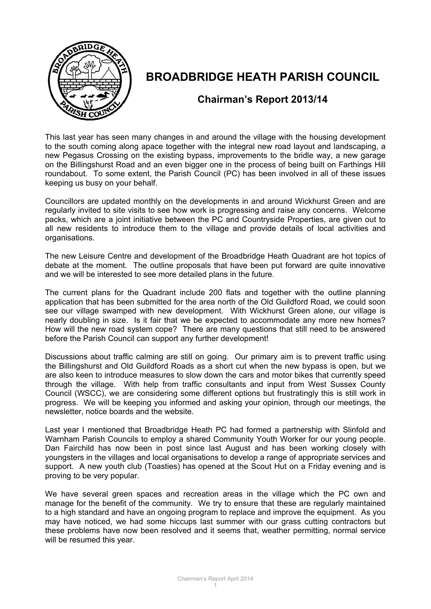

# **BROADBRIDGE HEATH PARISH COUNCIL**

## **Chairman's Report 2013/14**

This last year has seen many changes in and around the village with the housing development to the south coming along apace together with the integral new road layout and landscaping, a new Pegasus Crossing on the existing bypass, improvements to the bridle way, a new garage on the Billingshurst Road and an even bigger one in the process of being built on Farthings Hill roundabout. To some extent, the Parish Council (PC) has been involved in all of these issues keeping us busy on your behalf.

Councillors are updated monthly on the developments in and around Wickhurst Green and are regularly invited to site visits to see how work is progressing and raise any concerns. Welcome packs, which are a joint initiative between the PC and Countryside Properties, are given out to all new residents to introduce them to the village and provide details of local activities and organisations.

The new Leisure Centre and development of the Broadbridge Heath Quadrant are hot topics of debate at the moment. The outline proposals that have been put forward are quite innovative and we will be interested to see more detailed plans in the future.

The current plans for the Quadrant include 200 flats and together with the outline planning application that has been submitted for the area north of the Old Guildford Road, we could soon see our village swamped with new development. With Wickhurst Green alone, our village is nearly doubling in size. Is it fair that we be expected to accommodate any more new homes? How will the new road system cope? There are many questions that still need to be answered before the Parish Council can support any further development!

Discussions about traffic calming are still on going. Our primary aim is to prevent traffic using the Billingshurst and Old Guildford Roads as a short cut when the new bypass is open, but we are also keen to introduce measures to slow down the cars and motor bikes that currently speed through the village. With help from traffic consultants and input from West Sussex County Council (WSCC), we are considering some different options but frustratingly this is still work in progress. We will be keeping you informed and asking your opinion, through our meetings, the newsletter, notice boards and the website.

Last year I mentioned that Broadbridge Heath PC had formed a partnership with Slinfold and Warnham Parish Councils to employ a shared Community Youth Worker for our young people. Dan Fairchild has now been in post since last August and has been working closely with youngsters in the villages and local organisations to develop a range of appropriate services and support. A new youth club (Toasties) has opened at the Scout Hut on a Friday evening and is proving to be very popular.

We have several green spaces and recreation areas in the village which the PC own and manage for the benefit of the community. We try to ensure that these are regularly maintained to a high standard and have an ongoing program to replace and improve the equipment. As you may have noticed, we had some hiccups last summer with our grass cutting contractors but these problems have now been resolved and it seems that, weather permitting, normal service will be resumed this year.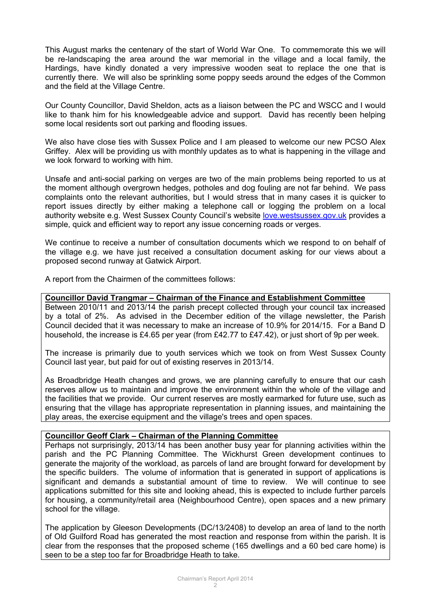This August marks the centenary of the start of World War One. To commemorate this we will be re-landscaping the area around the war memorial in the village and a local family, the Hardings, have kindly donated a very impressive wooden seat to replace the one that is currently there. We will also be sprinkling some poppy seeds around the edges of the Common and the field at the Village Centre.

Our County Councillor, David Sheldon, acts as a liaison between the PC and WSCC and I would like to thank him for his knowledgeable advice and support. David has recently been helping some local residents sort out parking and flooding issues.

We also have close ties with Sussex Police and I am pleased to welcome our new PCSO Alex Griffey. Alex will be providing us with monthly updates as to what is happening in the village and we look forward to working with him.

Unsafe and anti-social parking on verges are two of the main problems being reported to us at the moment although overgrown hedges, potholes and dog fouling are not far behind. We pass complaints onto the relevant authorities, but I would stress that in many cases it is quicker to report issues directly by either making a telephone call or logging the problem on a local authority website e.g. West Sussex County Council's website [love.westsussex.gov.uk](http://love.westsussex.gov.uk/) provides a simple, quick and efficient way to report any issue concerning roads or verges.

We continue to receive a number of consultation documents which we respond to on behalf of the village e.g. we have just received a consultation document asking for our views about a proposed second runway at Gatwick Airport.

A report from the Chairmen of the committees follows:

#### **Councillor David Trangmar – Chairman of the Finance and Establishment Committee**

Between 2010/11 and 2013/14 the parish precept collected through your council tax increased by a total of 2%. As advised in the December edition of the village newsletter, the Parish Council decided that it was necessary to make an increase of 10.9% for 2014/15. For a Band D household, the increase is £4.65 per year (from £42.77 to £47.42), or just short of 9p per week.

The increase is primarily due to youth services which we took on from West Sussex County Council last year, but paid for out of existing reserves in 2013/14.

As Broadbridge Heath changes and grows, we are planning carefully to ensure that our cash reserves allow us to maintain and improve the environment within the whole of the village and the facilities that we provide. Our current reserves are mostly earmarked for future use, such as ensuring that the village has appropriate representation in planning issues, and maintaining the play areas, the exercise equipment and the village's trees and open spaces.

### **Councillor Geoff Clark – Chairman of the Planning Committee**

Perhaps not surprisingly, 2013/14 has been another busy year for planning activities within the parish and the PC Planning Committee. The Wickhurst Green development continues to generate the majority of the workload, as parcels of land are brought forward for development by the specific builders. The volume of information that is generated in support of applications is significant and demands a substantial amount of time to review. We will continue to see applications submitted for this site and looking ahead, this is expected to include further parcels for housing, a community/retail area (Neighbourhood Centre), open spaces and a new primary school for the village.

The application by Gleeson Developments (DC/13/2408) to develop an area of land to the north of Old Guilford Road has generated the most reaction and response from within the parish. It is clear from the responses that the proposed scheme (165 dwellings and a 60 bed care home) is seen to be a step too far for Broadbridge Heath to take.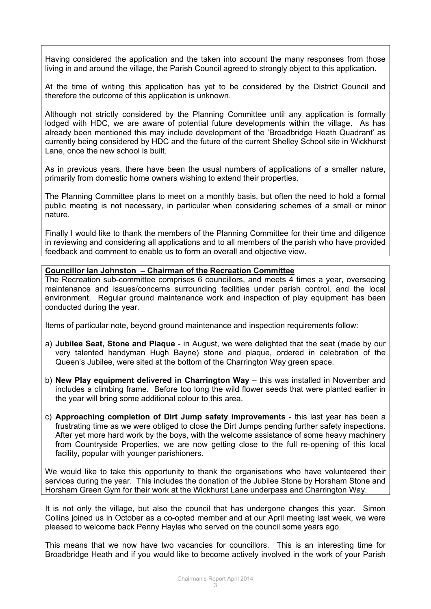Having considered the application and the taken into account the many responses from those living in and around the village, the Parish Council agreed to strongly object to this application.

At the time of writing this application has yet to be considered by the District Council and therefore the outcome of this application is unknown.

Although not strictly considered by the Planning Committee until any application is formally lodged with HDC, we are aware of potential future developments within the village. As has already been mentioned this may include development of the 'Broadbridge Heath Quadrant' as currently being considered by HDC and the future of the current Shelley School site in Wickhurst Lane, once the new school is built.

As in previous years, there have been the usual numbers of applications of a smaller nature, primarily from domestic home owners wishing to extend their properties.

The Planning Committee plans to meet on a monthly basis, but often the need to hold a formal public meeting is not necessary, in particular when considering schemes of a small or minor nature.

Finally I would like to thank the members of the Planning Committee for their time and diligence in reviewing and considering all applications and to all members of the parish who have provided feedback and comment to enable us to form an overall and objective view.

#### **Councillor Ian Johnston – Chairman of the Recreation Committee**

The Recreation sub-committee comprises 6 councillors, and meets 4 times a year, overseeing maintenance and issues/concerns surrounding facilities under parish control, and the local environment. Regular ground maintenance work and inspection of play equipment has been conducted during the year.

Items of particular note, beyond ground maintenance and inspection requirements follow:

- a) **Jubilee Seat, Stone and Plaque**  in August, we were delighted that the seat (made by our very talented handyman Hugh Bayne) stone and plaque, ordered in celebration of the Queen's Jubilee, were sited at the bottom of the Charrington Way green space.
- b) **New Play equipment delivered in Charrington Way** this was installed in November and includes a climbing frame. Before too long the wild flower seeds that were planted earlier in the year will bring some additional colour to this area.
- c) **Approaching completion of Dirt Jump safety improvements**  this last year has been a frustrating time as we were obliged to close the Dirt Jumps pending further safety inspections. After yet more hard work by the boys, with the welcome assistance of some heavy machinery from Countryside Properties, we are now getting close to the full re-opening of this local facility, popular with younger parishioners.

We would like to take this opportunity to thank the organisations who have volunteered their services during the year. This includes the donation of the Jubilee Stone by Horsham Stone and Horsham Green Gym for their work at the Wickhurst Lane underpass and Charrington Way.

It is not only the village, but also the council that has undergone changes this year. Simon Collins joined us in October as a co-opted member and at our April meeting last week, we were pleased to welcome back Penny Hayles who served on the council some years ago.

This means that we now have two vacancies for councillors. This is an interesting time for Broadbridge Heath and if you would like to become actively involved in the work of your Parish